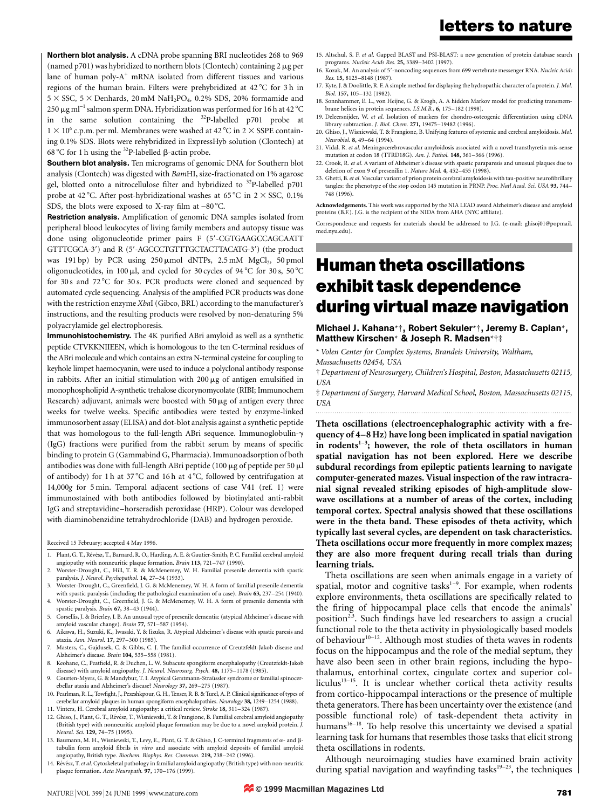Northern blot analysis. A cDNA probe spanning BRI nucleotides 268 to 969 (named p701) was hybridized to northern blots (Clontech) containing  $2 \mu$ g per lane of human poly-A<sup>+</sup> mRNA isolated from different tissues and various regions of the human brain. Filters were prehybridized at 42 °C for 3 h in  $5 \times \text{SSC}$ ,  $5 \times \text{Denhards}$ ,  $20 \text{ mM } \text{NaH}_2\text{PO}_4$ ,  $0.2\%$  SDS,  $20\%$  formamide and 250 µg ml<sup>-1</sup> salmon sperm DNA. Hybridization was performed for 16 h at 42 °C in the same solution containing the 32P-labelled p701 probe at  $1 \times 10^6$  c.p.m. per ml. Membranes were washed at 42 °C in 2  $\times$  SSPE containing 0.1% SDS. Blots were rehybridized in ExpressHyb solution (Clontech) at 68 °C for 1 h using the  $32P$ -labelled  $\beta$ -actin probe.

Southern blot analysis. Ten micrograms of genomic DNA for Southern blot analysis (Clontech) was digested with BamHI, size-fractionated on 1% agarose gel, blotted onto a nitrocellulose filter and hybridized to  $32P$ -labelled p701 probe at 42 °C. After post-hybridizational washes at 65 °C in  $2 \times$  SSC, 0.1% SDS, the blots were exposed to X-ray film at  $-80^{\circ}$ C.

Restriction analysis. Amplification of genomic DNA samples isolated from peripheral blood leukocytes of living family members and autopsy tissue was done using oligonucleotide primer pairs F (5'-CGTGAAGCCAGCAATT GTTTCGCA-3') and R (5'-AGCCCTGTTTGCTACTTACATG-3') (the product was 191 bp) by PCR using  $250 \mu \text{mol}$  dNTPs,  $2.5 \text{mM}$  MgCl<sub>2</sub>,  $50 \text{pmol}$ oligonucleotides, in 100  $\mu$ l, and cycled for 30 cycles of 94 °C for 30 s, 50 °C for 30 s and  $72\degree$ C for 30 s. PCR products were cloned and sequenced by automated cycle sequencing. Analysis of the amplified PCR products was done with the restriction enzyme XbaI (Gibco, BRL) according to the manufacturer's instructions, and the resulting products were resolved by non-denaturing 5% polyacrylamide gel electrophoresis.

Immunohistochemistry. The 4K purified ABri amyloid as well as a synthetic peptide CTVKKNIIEEN, which is homologous to the ten C-terminal residues of the ABri molecule and which contains an extra N-terminal cysteine for coupling to keyhole limpet haemocyanin, were used to induce a polyclonal antibody response in rabbits. After an initial stimulation with  $200 \mu g$  of antigen emulsified in monophospholipid A-synthetic trehalose dicorynomycolate (RIBI; Immunochem Research) adjuvant, animals were boosted with 50  $\mu$ g of antigen every three weeks for twelve weeks. Specific antibodies were tested by enzyme-linked immunosorbent assay (ELISA) and dot-blot analysis against a synthetic peptide that was homologous to the full-length ABri sequence. Immunoglobulin-g (IgG) fractions were purified from the rabbit serum by means of specific binding to protein G (Gammabind G, Pharmacia). Immunoadsorption of both antibodies was done with full-length ABri peptide (100  $\mu$ g of peptide per 50  $\mu$ l of antibody) for 1 h at 37 °C and 16 h at 4 °C, followed by centrifugation at 14,000g for 5 min. Temporal adjacent sections of case V41 (ref. 1) were immunostained with both antibodies followed by biotinylated anti-rabbit IgG and streptavidine-horseradish peroxidase (HRP). Colour was developed with diaminobenzidine tetrahydrochloride (DAB) and hydrogen peroxide.

Received 15 February; accepted 4 May 1996.

- 1. Plant, G. T., Révész, T., Barnard, R. O., Harding, A. E. & Gautier-Smith, P. C. Familial cerebral amyloid angiopathy with nonneuritic plaque formation. Brain 113, 721-747 (1990)
- 2. Worster-Drought, C., Hill, T. R. & McMenemey, W. H. Familial presenile dementia with spastic paralysis. J. Neurol. Psychopathol. 14, 27-34 (1933).
- 3. Worster-Drought, C., Greenfield, J. G. & McMenemey, W. H. A form of familial presenile dementia with spastic paralysis (including the pathological examination of a case). Brain  $63$ ,  $237-254$  (1940).
- 4. Worster-Drought, C., Greenfield, J. G. & McMenemey, W. H. A form of presenile dementia with spastic paralysis. Brain 67, 38-43 (1944).
- 5. Corsellis, J. & Brierley, J. B. An unusual type of presenile dementia: (atypical Alzheimer's disease with amyloid vascular change). Brain 77, 571-587 (1954).
- 6. Aikawa, H., Suzuki, K., Iwasaki, Y. & Iizuka, R. Atypical Alzheimer's disease with spastic paresis and ataxia. Ann. Neurol. 17, 297-300 (1985).
- 7. Masters, C., Gajdusek, C. & Gibbs, C. J. The familial occurrence of Creutzfeldt-Jakob disease and Alzheimer's disease. Brain 104, 535-558 (1981).
- 8. Keohane, C., Peatfield, R. & Duchen, L. W. Subacute spongiform encephalopathy (Creutzfeldt-Jakob disease) with amyloid angiopathy. J. Neurol. Neurosurg. Psych. 48, 1175-1178 (1985).
- 9. Courten-Myers, G. & Mandybur, T. I. Atypical Gerstmann-Straüssler syndrome or familial spinocerebellar ataxia and Alzheimer's disease? Neurology 37, 269-275 (1987).
- 10. Pearlman, R. L., Towfight, J., Pezeshkpour, G. H., Tenser, R. B. & Turel, A. P. Clinical significance of types of cerebellar amyloid plaques in human spongiform encephalopathies. Neurology 38, 1249-1254 (1988). 11. Vinters, H. Cerebral amyloid angiopathy: a critical review. Stroke 18, 311-324 (1987).
- 12. Ghiso, J., Plant, G. T., Révész, T., Wisniewski, T. & Frangione, B. Familial cerebral amyloid angiopathy (British type) with nonneuritic amyloid plaque formation may be due to a novel amyloid protein. J.
- Neurol. Sci. 129, 74-75 (1995). 13. Baumann, M. H., Wisniewski, T., Levy, E., Plant, G. T. & Ghiso, J. C-terminal fragments of a- and btubulin form amyloid fibrils in vitro and associate with amyloid deposits of familial amyloid angiopathy, British type. Biochem. Biophys. Res. Commun. 219, 238-242 (1996).
- 14. Révész, T. et al. Cytoskeletal pathology in familial amyloid angiopathy (British type) with non-neuritic plaque formation. Acta Neuropath. 97, 170-176 (1999).
- letters to nature
- 15. Altschul, S. F. et al. Gapped BLAST and PSI-BLAST: a new generation of protein database search programs. Nucleic Acids Res. 25, 3389-3402 (1997).
- 16. Kozak, M. An analysis of 5'-noncoding sequences from 699 vertebrate messenger RNA. Nucleic Acids Res. 15, 8125-8148 (1987).
- 17. Kyte, J. & Doolittle, R. F. A simple method for displaying the hydropathic character of a protein. J. Mol. Biol. 157, 105-132 (1982).
- 18. Sonnhammer, E. L., von Heijne, G. & Krogh, A. A hidden Markov model for predicting transmembrane helices in protein sequences.  $I.S.M.B., 6, 175-182$  (1998).
- 19. Deleersnijder, W. et al. Isolation of markers for chondro-osteogenic differentiation using cDNA library subtraction. J. Biol. Chem. 271, 19475-19482 (1996).
- 20. Ghiso, J., Wisniewski, T. & Frangione, B. Unifying features of systemic and cerebral amyloidosis. Mol. Neurobiol. 8, 49-64 (1994). 21. Vidal, R. et al. Meningocerebrovascular amyloidosis associated with a novel transthyretin mis-sense
- mutation at codon 18 (TTRD18G). Am. J. Pathol. 148, 361-366 (1996). 22. Crook, R. et al. A variant of Alzheimer's disease with spastic paraparesis and unusual plaques due to
- deletion of exon 9 of presenilin 1. Nature Med. 4, 452-455 (1998). 23. Ghetti, B. et al. Vascular variant of prion protein cerebral amyloidosis with tau-positive neurofibrillary
- tangles: the phenotype of the stop codon 145 mutation in PRNP. Proc. Natl Acad. Sci. USA 93, 744-748 (1996).

Acknowledgements. This work was supported by the NIA LEAD award Alzheimer's disease and amyloid proteins (B.F.). J.G. is the recipient of the NIDA from AHA (NYC affiliate).

Correspondence and requests for materials should be addressed to J.G. (e-mail: ghisoj01@popmail. med.nyu.edu).

# Human theta oscillations exhibit task dependence during virtual maze navigation

Michael J. Kahana\*², Robert Sekuler\*², Jeremy B. Caplan\*, Matthew Kirschen\* & Joseph R. Madsen\*†‡

\*Volen Center for Complex Systems, Brandeis University, Waltham, Massachusetts 02454, USA

² Department of Neurosurgery, Children's Hospital, Boston, Massachusetts 02115, **USA** 

³ Department of Surgery, Harvard Medical School, Boston, Massachusetts 02115, USA .........................................................................................................................

Theta oscillations (electroencephalographic activity with a frequency of 4-8 Hz) have long been implicated in spatial navigation in rodents $1-3$ ; however, the role of theta oscillators in human spatial navigation has not been explored. Here we describe subdural recordings from epileptic patients learning to navigate computer-generated mazes. Visual inspection of the raw intracranial signal revealed striking episodes of high-amplitude slowwave oscillations at a number of areas of the cortex, including temporal cortex. Spectral analysis showed that these oscillations were in the theta band. These episodes of theta activity, which typically last several cycles, are dependent on task characteristics. Theta oscillations occur more frequently in more complex mazes; they are also more frequent during recall trials than during learning trials.

Theta oscillations are seen when animals engage in a variety of spatial, motor and cognitive tasks $1-9$ . For example, when rodents explore environments, theta oscillations are specifically related to the firing of hippocampal place cells that encode the animals' position<sup>2,3</sup>. Such findings have led researchers to assign a crucial functional role to the theta activity in physiologically based models of behaviour<sup>10-12</sup>. Although most studies of theta waves in rodents focus on the hippocampus and the role of the medial septum, they have also been seen in other brain regions, including the hypothalamus, entorhinal cortex, cingulate cortex and superior colliculus<sup>13-15</sup>. It is unclear whether cortical theta activity results from cortico-hippocampal interactions or the presence of multiple theta generators. There has been uncertainty over the existence (and possible functional role) of task-dependent theta activity in humans<sup>16-18</sup>. To help resolve this uncertainty we devised a spatial learning task for humans that resembles those tasks that elicit strong theta oscillations in rodents.

Although neuroimaging studies have examined brain activity during spatial navigation and wayfinding tasks $19-23$ , the techniques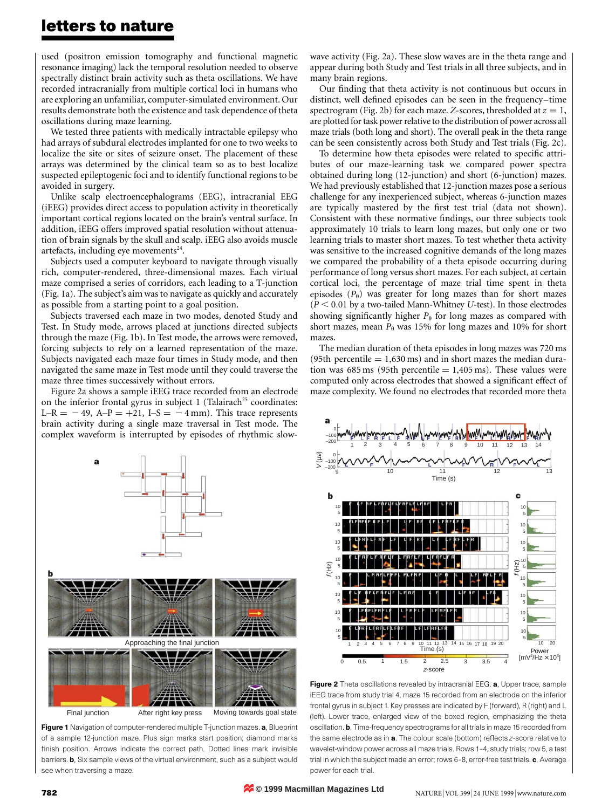### letters to nature

used (positron emission tomography and functional magnetic resonance imaging) lack the temporal resolution needed to observe spectrally distinct brain activity such as theta oscillations. We have recorded intracranially from multiple cortical loci in humans who are exploring an unfamiliar, computer-simulated environment. Our results demonstrate both the existence and task dependence of theta oscillations during maze learning.

We tested three patients with medically intractable epilepsy who had arrays of subdural electrodes implanted for one to two weeks to localize the site or sites of seizure onset. The placement of these arrays was determined by the clinical team so as to best localize suspected epileptogenic foci and to identify functional regions to be avoided in surgery.

Unlike scalp electroencephalograms (EEG), intracranial EEG (iEEG) provides direct access to population activity in theoretically important cortical regions located on the brain's ventral surface. In addition, iEEG offers improved spatial resolution without attenuation of brain signals by the skull and scalp. iEEG also avoids muscle artefacts, including eye movements $24$ .

Subjects used a computer keyboard to navigate through visually rich, computer-rendered, three-dimensional mazes. Each virtual maze comprised a series of corridors, each leading to a T-junction (Fig. 1a). The subject's aim was to navigate as quickly and accurately as possible from a starting point to a goal position.

Subjects traversed each maze in two modes, denoted Study and Test. In Study mode, arrows placed at junctions directed subjects through the maze (Fig. 1b). In Test mode, the arrows were removed, forcing subjects to rely on a learned representation of the maze. Subjects navigated each maze four times in Study mode, and then navigated the same maze in Test mode until they could traverse the maze three times successively without errors.

Figure 2a shows a sample iEEG trace recorded from an electrode on the inferior frontal gyrus in subject  $1$  (Talairach<sup>25</sup> coordinates: L-R =  $-49$ , A-P =  $+21$ , I-S =  $-4$  mm). This trace represents brain activity during a single maze traversal in Test mode. The complex waveform is interrupted by episodes of rhythmic slow-



Figure 1 Navigation of computer-rendered multiple T-junction mazes. a, Blueprint of a sample 12-junction maze. Plus sign marks start position; diamond marks finish position. Arrows indicate the correct path. Dotted lines mark invisible barriers. **b**, Six sample views of the virtual environment, such as a subject would see when traversing a maze.

wave activity (Fig. 2a). These slow waves are in the theta range and appear during both Study and Test trials in all three subjects, and in many brain regions.

Our finding that theta activity is not continuous but occurs in distinct, well defined episodes can be seen in the frequency-time spectrogram (Fig. 2b) for each maze. Z-scores, thresholded at  $z = 1$ , are plotted for task power relative to the distribution of power across all maze trials (both long and short). The overall peak in the theta range can be seen consistently across both Study and Test trials (Fig. 2c).

To determine how theta episodes were related to specific attributes of our maze-learning task we compared power spectra obtained during long (12-junction) and short (6-junction) mazes. We had previously established that 12-junction mazes pose a serious challenge for any inexperienced subject, whereas 6-junction mazes are typically mastered by the first test trial (data not shown). Consistent with these normative findings, our three subjects took approximately 10 trials to learn long mazes, but only one or two learning trials to master short mazes. To test whether theta activity was sensitive to the increased cognitive demands of the long mazes we compared the probability of a theta episode occurring during performance of long versus short mazes. For each subject, at certain cortical loci, the percentage of maze trial time spent in theta episodes  $(P_{\theta})$  was greater for long mazes than for short mazes  $(P < 0.01$  by a two-tailed Mann-Whitney U-test). In those electrodes showing significantly higher  $P_{\theta}$  for long mazes as compared with short mazes, mean  $P_{\theta}$  was 15% for long mazes and 10% for short mazes.

The median duration of theta episodes in long mazes was 720 ms (95th percentile  $= 1,630 \,\text{ms}$ ) and in short mazes the median duration was 685 ms (95th percentile  $= 1,405$  ms). These values were computed only across electrodes that showed a significant effect of maze complexity. We found no electrodes that recorded more theta



Figure 2 Theta oscillations revealed by intracranial EEG. a, Upper trace, sample iEEG trace from study trial 4, maze 15 recorded from an electrode on the inferior frontal gyrus in subject 1. Key presses are indicated by F (forward), R (right) and L (left). Lower trace, enlarged view of the boxed region, emphasizing the theta oscillation. b, Time-frequency spectrograms for all trials in maze 15 recorded from the same electrode as in  $a$ . The colour scale (bottom) reflects  $z$ -score relative to wavelet-window power across all maze trials. Rows 1-4, study trials; row 5, a test trial in which the subject made an error; rows 6-8, error-free test trials. c, Average power for each trial.

**© 1999 Macmillan Magazines Ltd**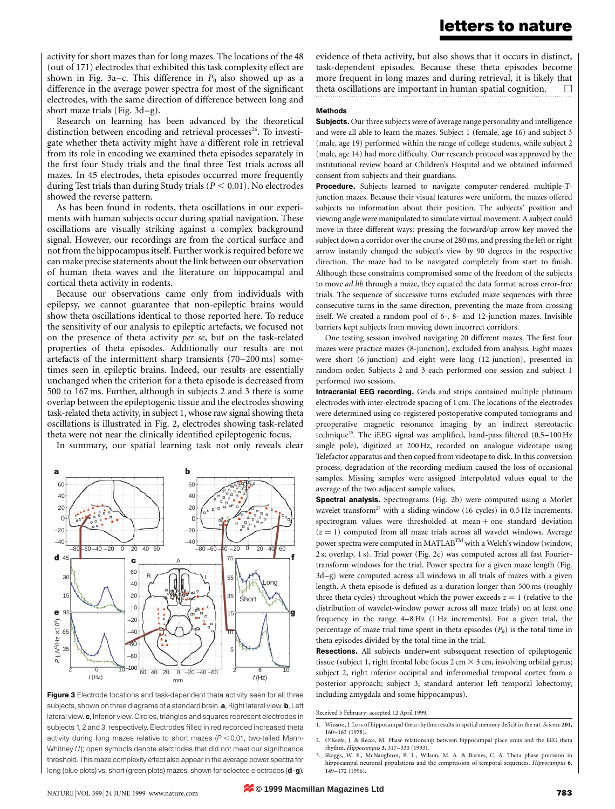activity for short mazes than for long mazes. The locations of the 48 (out of 171) electrodes that exhibited this task complexity effect are shown in Fig. 3a–c. This difference in  $P_{\theta}$  also showed up as a difference in the average power spectra for most of the significant electrodes, with the same direction of difference between long and short maze trials (Fig.  $3d-g$ ).

Research on learning has been advanced by the theoretical distinction between encoding and retrieval processes<sup>26</sup>. To investigate whether theta activity might have a different role in retrieval from its role in encoding we examined theta episodes separately in the first four Study trials and the final three Test trials across all mazes. In 45 electrodes, theta episodes occurred more frequently during Test trials than during Study trials ( $P < 0.01$ ). No electrodes showed the reverse pattern.

As has been found in rodents, theta oscillations in our experiments with human subjects occur during spatial navigation. These oscillations are visually striking against a complex background signal. However, our recordings are from the cortical surface and not from the hippocampus itself. Further work is required before we can make precise statements about the link between our observation of human theta waves and the literature on hippocampal and cortical theta activity in rodents.

Because our observations came only from individuals with epilepsy, we cannot guarantee that non-epileptic brains would show theta oscillations identical to those reported here. To reduce the sensitivity of our analysis to epileptic artefacts, we focused not on the presence of theta activity per se, but on the task-related properties of theta episodes. Additionally our results are not artefacts of the intermittent sharp transients  $(70-200 \text{ ms})$  sometimes seen in epileptic brains. Indeed, our results are essentially unchanged when the criterion for a theta episode is decreased from 500 to 167 ms. Further, although in subjects 2 and 3 there is some overlap between the epileptogenic tissue and the electrodes showing task-related theta activity, in subject 1, whose raw signal showing theta oscillations is illustrated in Fig. 2, electrodes showing task-related theta were not near the clinically identified epileptogenic focus.

In summary, our spatial learning task not only reveals clear



Figure 3 Electrode locations and task-dependent theta activity seen for all three subjects, shown on three diagrams of a standard brain. a, Right lateral view. b, Left lateral view. c, Inferior view. Circles, triangles and squares represent electrodes in subjects 1, 2 and 3, respectively. Electrodes filled in red recorded increased theta activity during long mazes relative to short mazes ( $P < 0.01$ , two-tailed Mann-Whitney  $U$ ); open symbols denote electrodes that did not meet our significance threshold. This maze complexity effect also appear in the average power spectra for long (blue plots) vs. short (green plots) mazes, shown for selected electrodes (d-g).

evidence of theta activity, but also shows that it occurs in distinct, task-dependent episodes. Because these theta episodes become more frequent in long mazes and during retrieval, it is likely that theta oscillations are important in human spatial cognition.  $\Box$ 

#### Methods

**Subjects.** Our three subjects were of average range personality and intelligence and were all able to learn the mazes. Subject 1 (female, age 16) and subject 3 (male, age 19) performed within the range of college students, while subject 2 (male, age 14) had more difficulty. Our research protocol was approved by the institutional review board at Children's Hospital and we obtained informed consent from subjects and their guardians.

Procedure. Subjects learned to navigate computer-rendered multiple-Tjunction mazes. Because their visual features were uniform, the mazes offered subjects no information about their position. The subjects' position and viewing angle were manipulated to simulate virtual movement. A subject could move in three different ways: pressing the forward/up arrow key moved the subject down a corridor over the course of 280 ms, and pressing the left or right arrow instantly changed the subject's view by 90 degrees in the respective direction. The maze had to be navigated completely from start to finish. Although these constraints compromised some of the freedom of the subjects to move ad lib through a maze, they equated the data format across error-free trials. The sequence of successive turns excluded maze sequences with three consecutive turns in the same direction, preventing the maze from crossing itself. We created a random pool of 6-, 8- and 12-junction mazes. Invisible barriers kept subjects from moving down incorrect corridors.

One testing session involved navigating 20 different mazes. The first four mazes were practice mazes (8-junction), excluded from analysis. Eight mazes were short (6-junction) and eight were long (12-junction), presented in random order. Subjects 2 and 3 each performed one session and subject 1 performed two sessions.

Intracranial EEG recording. Grids and strips contained multiple platinum electrodes with inter-electrode spacing of 1 cm. The locations of the electrodes were determined using co-registered postoperative computed tomograms and preoperative magnetic resonance imaging by an indirect stereotactic technique<sup>25</sup>. The iEEG signal was amplified, band-pass filtered (0.5-100 Hz single pole), digitized at 200 Hz, recorded on analogue videotape using Telefactor apparatus and then copied from videotape to disk. In this conversion process, degradation of the recording medium caused the loss of occasional samples. Missing samples were assigned interpolated values equal to the average of the two adjacent sample values.

Spectral analysis. Spectrograms (Fig. 2b) were computed using a Morlet wavelet transform<sup>27</sup> with a sliding window (16 cycles) in  $0.5$  Hz increments. spectrogram values were thresholded at mean  $+$  one standard deviation  $(z = 1)$  computed from all maze trials across all wavelet windows. Average power spectra were computed in MATLAB<sup>TM</sup> with a Welch's window (window, 2 s; overlap, 1 s). Trial power (Fig. 2c) was computed across all fast Fouriertransform windows for the trial. Power spectra for a given maze length (Fig. 3d-g) were computed across all windows in all trials of mazes with a given length. A theta episode is defined as a duration longer than 500 ms (roughly three theta cycles) throughout which the power exceeds  $z = 1$  (relative to the distribution of wavelet-window power across all maze trials) on at least one frequency in the range 4-8 Hz (1 Hz increments). For a given trial, the percentage of maze trial time spent in theta episodes  $(P_{\theta})$  is the total time in theta episodes divided by the total time in the trial.

Resections. All subjects underwent subsequent resection of epileptogenic tissue (subject 1, right frontal lobe focus 2 cm  $\times$  3 cm, involving orbital gyrus; subject 2, right inferior occipital and inferomedial temporal cortex from a posterior approach; subject 3, standard anterior left temporal lobectomy, including amygdala and some hippocampus).

Received 5 February; accepted 12 April 1999.

- 1. Winson, J. Loss of hippocampal theta rhythm results in spatial memory deficit in the rat. Science 201, 160±163 (1978).
- 2. O'Keefe, J. & Recce, M. Phase relationship between hippocampal place units and the EEG theta rhythm. Hippocampus 3, 317-330 (1993).
- 3. Skaggs, W. E., McNaughton, B. L., Wilson, M. A. & Barnes, C. A. Theta phase precision in hippocampal neuronal populations and the compression of temporal sequences. Hippocampus 6, 149±172 (1996).